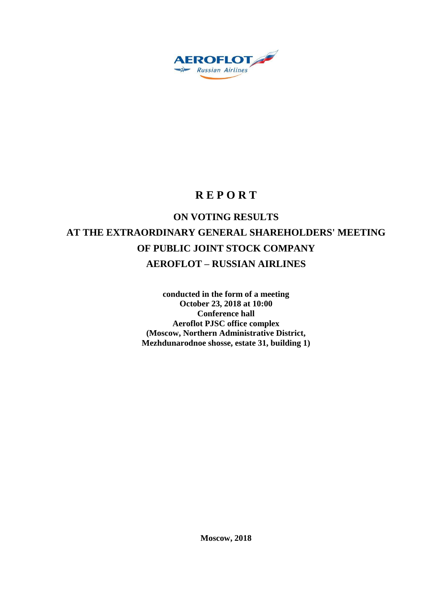

## **R E P O R T**

# **ON VOTING RESULTS AT THE EXTRAORDINARY GENERAL SHAREHOLDERS' MEETING OF PUBLIC JOINT STOCK COMPANY AEROFLOT – RUSSIAN AIRLINES**

**conducted in the form of a meeting October 23, 2018 at 10:00 Conference hall Aeroflot PJSC office complex (Moscow, Northern Administrative District, Mezhdunarodnoe shosse, estate 31, building 1)**

**Moscow, 2018**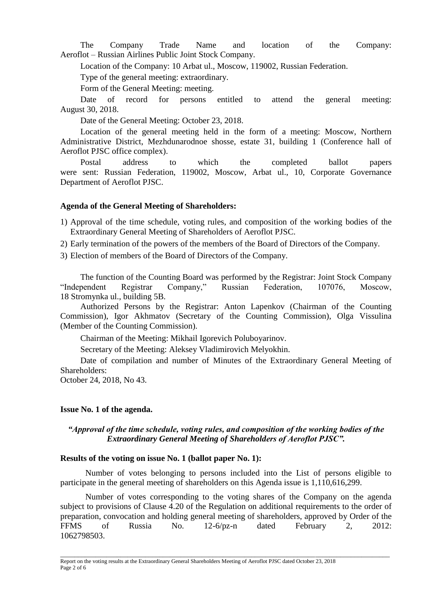The Company Trade Name and location of the Company: Aeroflot – Russian Airlines Public Joint Stock Company.

Location of the Company: 10 Arbat ul., Moscow, 119002, Russian Federation.

Type of the general meeting: extraordinary.

Form of the General Meeting: meeting.

Date of record for persons entitled to attend the general meeting: August 30, 2018.

Date of the General Meeting: October 23, 2018.

Location of the general meeting held in the form of a meeting: Moscow, Northern Administrative District, Mezhdunarodnoe shosse, estate 31, building 1 (Conference hall of Aeroflot PJSC office complex).

Postal address to which the completed ballot papers were sent: Russian Federation, 119002, Moscow, Arbat ul., 10, Corporate Governance Department of Aeroflot PJSC.

### **Agenda of the General Meeting of Shareholders:**

- 1) Approval of the time schedule, voting rules, and composition of the working bodies of the Extraordinary General Meeting of Shareholders of Aeroflot PJSC.
- 2) Early termination of the powers of the members of the Board of Directors of the Company.
- 3) Election of members of the Board of Directors of the Company.

The function of the Counting Board was performed by the Registrar: Joint Stock Company "Independent Registrar Company," Russian Federation, 107076, Moscow, 18 Stromynka ul., building 5B.

Authorized Persons by the Registrar: Anton Lapenkov (Chairman of the Counting Commission), Igor Akhmatov (Secretary of the Counting Commission), Olga Vissulina (Member of the Counting Commission).

Chairman of the Meeting: Mikhail Igorevich Poluboyarinov.

Secretary of the Meeting: Aleksey Vladimirovich Melyokhin.

Date of compilation and number of Minutes of the Extraordinary General Meeting of Shareholders:

October 24, 2018, No 43.

### **Issue No. 1 of the agenda.**

### *"Approval of the time schedule, voting rules, and composition of the working bodies of the Extraordinary General Meeting of Shareholders of Aeroflot PJSC".*

### **Results of the voting on issue No. 1 (ballot paper No. 1):**

Number of votes belonging to persons included into the List of persons eligible to participate in the general meeting of shareholders on this Agenda issue is 1,110,616,299.

Number of votes corresponding to the voting shares of the Company on the agenda subject to provisions of Clause 4.20 of the Regulation on additional requirements to the order of preparation, convocation and holding general meeting of shareholders, approved by Order of the FFMS of Russia No. 12-6/pz-n dated February 2, 2012: 1062798503.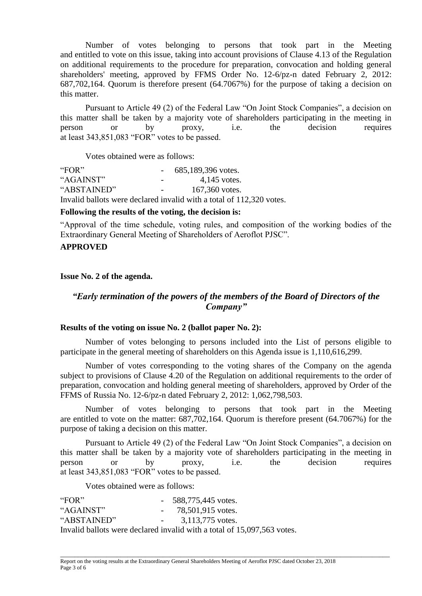Number of votes belonging to persons that took part in the Meeting and entitled to vote on this issue, taking into account provisions of Clause 4.13 of the Regulation on additional requirements to the procedure for preparation, convocation and holding general shareholders' meeting, approved by FFMS Order No. 12-6/pz-n dated February 2, 2012: 687,702,164. Quorum is therefore present (64.7067%) for the purpose of taking a decision on this matter.

Pursuant to Article 49 (2) of the Federal Law "On Joint Stock Companies", a decision on this matter shall be taken by a majority vote of shareholders participating in the meeting in person or by proxy, i.e. the decision requires at least 343,851,083 "FOR" votes to be passed.

Votes obtained were as follows:

| "FOR"       | 685,189,396 votes.                                                   |
|-------------|----------------------------------------------------------------------|
| "AGAINST"   | $4,145$ votes.                                                       |
| "ABSTAINED" | 167,360 votes.                                                       |
|             | Invalid ballots were declared invalid with a total of 112,320 votes. |

### **Following the results of the voting, the decision is:**

"Approval of the time schedule, voting rules, and composition of the working bodies of the Extraordinary General Meeting of Shareholders of Aeroflot PJSC".

### **APPROVED**

### **Issue No. 2 of the agenda.**

### *"Early termination of the powers of the members of the Board of Directors of the Company"*

### **Results of the voting on issue No. 2 (ballot paper No. 2):**

Number of votes belonging to persons included into the List of persons eligible to participate in the general meeting of shareholders on this Agenda issue is 1,110,616,299.

Number of votes corresponding to the voting shares of the Company on the agenda subject to provisions of Clause 4.20 of the Regulation on additional requirements to the order of preparation, convocation and holding general meeting of shareholders, approved by Order of the FFMS of Russia No. 12-6/pz-n dated February 2, 2012: 1,062,798,503.

Number of votes belonging to persons that took part in the Meeting are entitled to vote on the matter: 687,702,164. Quorum is therefore present (64.7067%) for the purpose of taking a decision on this matter.

Pursuant to Article 49 (2) of the Federal Law "On Joint Stock Companies", a decision on this matter shall be taken by a majority vote of shareholders participating in the meeting in person or by proxy, i.e. the decision requires at least 343,851,083 "FOR" votes to be passed.

Votes obtained were as follows:

| "FOR"       | $-588,775,445$ votes.                                                   |
|-------------|-------------------------------------------------------------------------|
| "AGAINST"   | $-78,501,915$ votes.                                                    |
| "ABSTAINED" | $-3,113,775$ votes.                                                     |
|             | Invalid ballots were declared invalid with a total of 15,097,563 votes. |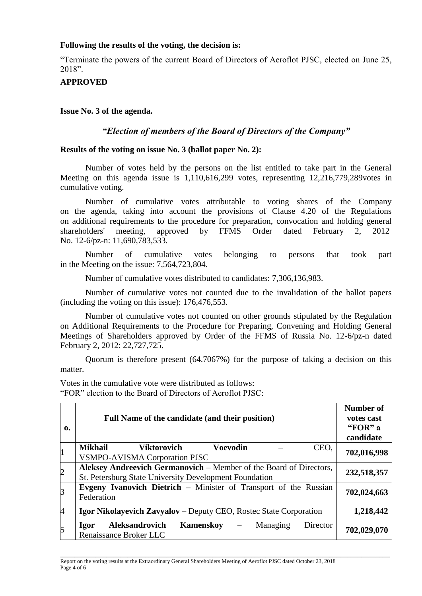### **Following the results of the voting, the decision is:**

"Terminate the powers of the current Board of Directors of Aeroflot PJSC, elected on June 25, 2018".

### **APPROVED**

**Issue No. 3 of the agenda.**

### *"Election of members of the Board of Directors of the Company"*

#### **Results of the voting on issue No. 3 (ballot paper No. 2):**

Number of votes held by the persons on the list entitled to take part in the General Meeting on this agenda issue is 1,110,616,299 votes, representing 12,216,779,289votes in cumulative voting.

Number of cumulative votes attributable to voting shares of the Company on the agenda, taking into account the provisions of Clause 4.20 of the Regulations on additional requirements to the procedure for preparation, convocation and holding general shareholders' meeting, approved by FFMS Order dated February 2, 2012 No. 12-6/pz-n: 11,690,783,533.

Number of cumulative votes belonging to persons that took part in the Meeting on the issue: 7,564,723,804.

Number of cumulative votes distributed to candidates: 7,306,136,983.

Number of cumulative votes not counted due to the invalidation of the ballot papers (including the voting on this issue): 176,476,553.

Number of cumulative votes not counted on other grounds stipulated by the Regulation on Additional Requirements to the Procedure for Preparing, Convening and Holding General Meetings of Shareholders approved by Order of the FFMS of Russia No. 12-6/pz-n dated February 2, 2012: 22,727,725.

Quorum is therefore present (64.7067%) for the purpose of taking a decision on this matter.

Votes in the cumulative vote were distributed as follows: "FOR" election to the Board of Directors of Aeroflot PJSC:

| 0.             | Full Name of the candidate (and their position)                         | <b>Number of</b><br>votes cast<br>"FOR" a<br>candidate |  |  |  |  |  |  |
|----------------|-------------------------------------------------------------------------|--------------------------------------------------------|--|--|--|--|--|--|
|                | <b>Mikhail</b><br><b>Voevodin</b><br>CEO,<br>Viktorovich                | 702,016,998                                            |  |  |  |  |  |  |
|                | <b>VSMPO-AVISMA Corporation PJSC</b>                                    |                                                        |  |  |  |  |  |  |
| $\overline{c}$ | Aleksey Andreevich Germanovich – Member of the Board of Directors,      |                                                        |  |  |  |  |  |  |
|                | St. Petersburg State University Development Foundation                  | 232,518,357                                            |  |  |  |  |  |  |
| $\beta$        | <b>Evgeny Ivanovich Dietrich – Minister of Transport of the Russian</b> |                                                        |  |  |  |  |  |  |
|                | Federation                                                              | 702,024,663                                            |  |  |  |  |  |  |
| $\overline{A}$ | Igor Nikolayevich Zavyalov - Deputy CEO, Rostec State Corporation       | 1,218,442                                              |  |  |  |  |  |  |
| 5              | <b>Aleksandrovich</b><br>Kamenskov<br>Managing<br>Director<br>Igor      | 702,029,070                                            |  |  |  |  |  |  |
|                | Renaissance Broker LLC                                                  |                                                        |  |  |  |  |  |  |

\_\_\_\_\_\_\_\_\_\_\_\_\_\_\_\_\_\_\_\_\_\_\_\_\_\_\_\_\_\_\_\_\_\_\_\_\_\_\_\_\_\_\_\_\_\_\_\_\_\_\_\_\_\_\_\_\_\_\_\_\_\_\_\_\_\_\_\_\_\_\_\_\_\_\_\_\_\_\_\_\_\_\_\_\_\_\_\_\_\_\_\_\_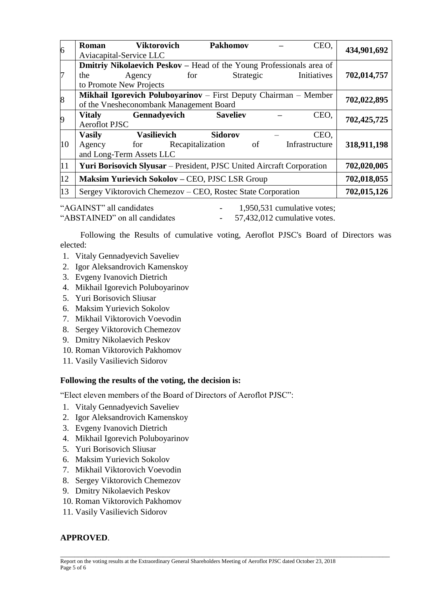| $\overline{6}$ | <b>Roman</b>                                                                                                | <b>Viktorovich</b><br>Aviacapital-Service LLC | <b>Pakhomov</b> |           |  | CEO.           | 434,901,692 |  |  |  |  |
|----------------|-------------------------------------------------------------------------------------------------------------|-----------------------------------------------|-----------------|-----------|--|----------------|-------------|--|--|--|--|
|                | <b>Dmitriy Nikolaevich Peskov – Head of the Young Professionals area of</b>                                 |                                               |                 |           |  |                |             |  |  |  |  |
| 7              | the                                                                                                         | Agency                                        | for             | Strategic |  | Initiatives    | 702,014,757 |  |  |  |  |
|                |                                                                                                             | to Promote New Projects                       |                 |           |  |                |             |  |  |  |  |
| 8              | Mikhail Igorevich Poluboyarinov – First Deputy Chairman – Member<br>of the Vnesheconombank Management Board |                                               |                 |           |  |                |             |  |  |  |  |
|                |                                                                                                             |                                               |                 |           |  |                |             |  |  |  |  |
| 9              | <b>Vitaly</b><br>Gennadyevich<br>CEO,<br><b>Saveliev</b><br><b>Aeroflot PJSC</b>                            |                                               |                 |           |  | 702,425,725    |             |  |  |  |  |
|                | <b>Vasily</b>                                                                                               | <b>Vasilievich</b>                            | <b>Sidorov</b>  |           |  | CEO.           |             |  |  |  |  |
| 10             | Agency                                                                                                      | for Recapitalization                          |                 | of        |  | Infrastructure | 318,911,198 |  |  |  |  |
|                | and Long-Term Assets LLC                                                                                    |                                               |                 |           |  |                |             |  |  |  |  |
| 11             | Yuri Borisovich Slyusar - President, PJSC United Aircraft Corporation                                       | 702,020,005                                   |                 |           |  |                |             |  |  |  |  |
| 12             | Maksim Yurievich Sokolov - CEO, PJSC LSR Group                                                              |                                               |                 |           |  |                | 702,018,055 |  |  |  |  |
| 13             | Sergey Viktorovich Chemezov – CEO, Rostec State Corporation                                                 | 702,015,126                                   |                 |           |  |                |             |  |  |  |  |

"AGAINST" all candidates  $\qquad \qquad -1.950.531$  cumulative votes: "ABSTAINED" on all candidates - 57,432,012 cumulative votes.

Following the Results of cumulative voting, Aeroflot PJSC's Board of Directors was elected:

- 1. Vitaly Gennadyevich Saveliev
- 2. Igor Aleksandrovich Kamenskoy
- 3. Evgeny Ivanovich Dietrich
- 4. Mikhail Igorevich Poluboyarinov
- 5. Yuri Borisovich Sliusar
- 6. Maksim Yurievich Sokolov
- 7. Mikhail Viktorovich Voevodin
- 8. Sergey Viktorovich Chemezov
- 9. Dmitry Nikolaevich Peskov
- 10. Roman Viktorovich Pakhomov
- 11. Vasily Vasilievich Sidorov

### **Following the results of the voting, the decision is:**

"Elect eleven members of the Board of Directors of Aeroflot PJSC":

- 1. Vitaly Gennadyevich Saveliev
- 2. Igor Aleksandrovich Kamenskoy
- 3. Evgeny Ivanovich Dietrich
- 4. Mikhail Igorevich Poluboyarinov
- 5. Yuri Borisovich Sliusar
- 6. Maksim Yurievich Sokolov
- 7. Mikhail Viktorovich Voevodin
- 8. Sergey Viktorovich Chemezov
- 9. Dmitry Nikolaevich Peskov
- 10. Roman Viktorovich Pakhomov
- 11. Vasily Vasilievich Sidorov

### **APPROVED**.